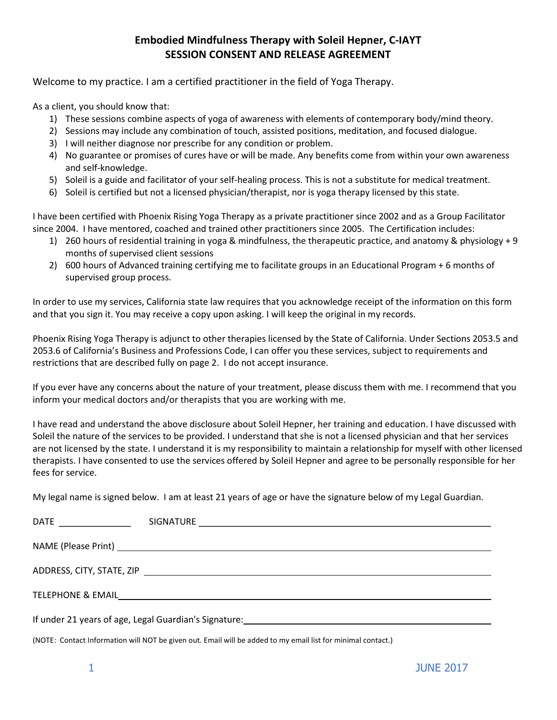## Embodied Mindfulness Therapy with Soleil Hepner, C-IAYT SESSION CONSENT AND RELEASE AGREEMENT

Welcome to my practice. I am a certified practitioner in the field of Yoga Therapy.

As a client, you should know that:

- 1) These sessions combine aspects of yoga of awareness with elements of contemporary body/mind theory.
- 2) Sessions may include any combination of touch, assisted positions, meditation, and focused dialogue.
- 3) I will neither diagnose nor prescribe for any condition or problem.
- 4) No guarantee or promises of cures have or will be made. Any benefits come from within your own awareness and self-knowledge.
- 5) Soleil is a guide and facilitator of your self-healing process. This is not a substitute for medical treatment.
- 6) Soleil is certified but not a licensed physician/therapist, nor is yoga therapy licensed by this state.

I have been certified with Phoenix Rising Yoga Therapy as a private practitioner since 2002 and as a Group Facilitator since 2004. I have mentored, coached and trained other practitioners since 2005. The Certification includes:

- 1) 260 hours of residential training in yoga & mindfulness, the therapeutic practice, and anatomy & physiology + 9 months of supervised client sessions
- 2) 600 hours of Advanced training certifying me to facilitate groups in an Educational Program + 6 months of supervised group process.

In order to use my services, California state law requires that you acknowledge receipt of the information on this form and that you sign it. You may receive a copy upon asking. I will keep the original in my records.

Phoenix Rising Yoga Therapy is adjunct to other therapies licensed by the State of California. Under Sections 2053.5 and 2053.6 of California's Business and Professions Code, I can offer you these services, subject to requirements and restrictions that are described fully on page 2. I do not accept insurance.

If you ever have any concerns about the nature of your treatment, please discuss them with me. I recommend that you inform your medical doctors and/or therapists that you are working with me.

I have read and understand the above disclosure about Soleil Hepner, her training and education. I have discussed with Soleil the nature of the services to be provided. I understand that she is not a licensed physician and that her services are not licensed by the state. I understand it is my responsibility to maintain a relationship for myself with other licensed therapists. I have consented to use the services offered by Soleil Hepner and agree to be personally responsible for her fees for service.

My legal name is signed below. I am at least 21 years of age or have the signature below of my Legal Guardian.

(NOTE: Contact Information will NOT be given out. Email will be added to my email list for minimal contact.)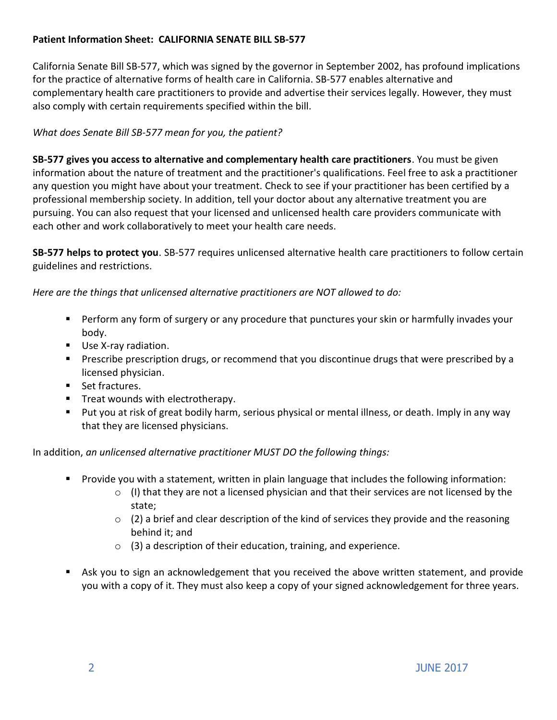### Patient Information Sheet: CALIFORNIA SENATE BILL SB-577

California Senate Bill SB-577, which was signed by the governor in September 2002, has profound implications for the practice of alternative forms of health care in California. SB-577 enables alternative and complementary health care practitioners to provide and advertise their services legally. However, they must also comply with certain requirements specified within the bill.

#### What does Senate Bill SB-577 mean for you, the patient?

SB-577 gives you access to alternative and complementary health care practitioners. You must be given information about the nature of treatment and the practitioner's qualifications. Feel free to ask a practitioner any question you might have about your treatment. Check to see if your practitioner has been certified by a professional membership society. In addition, tell your doctor about any alternative treatment you are pursuing. You can also request that your licensed and unlicensed health care providers communicate with each other and work collaboratively to meet your health care needs.

SB-577 helps to protect you. SB-577 requires unlicensed alternative health care practitioners to follow certain guidelines and restrictions.

Here are the things that unlicensed alternative practitioners are NOT allowed to do:

- **Perform any form of surgery or any procedure that punctures your skin or harmfully invades your** body.
- **Use X-ray radiation.**
- **Prescribe prescription drugs, or recommend that you discontinue drugs that were prescribed by a** licensed physician.
- Set fractures.
- **Treat wounds with electrotherapy.**
- Put you at risk of great bodily harm, serious physical or mental illness, or death. Imply in any way that they are licensed physicians.

In addition, an unlicensed alternative practitioner MUST DO the following things:

- Provide you with a statement, written in plain language that includes the following information:
	- $\circ$  (I) that they are not a licensed physician and that their services are not licensed by the state;
	- $\circ$  (2) a brief and clear description of the kind of services they provide and the reasoning behind it; and
	- $\circ$  (3) a description of their education, training, and experience.
- Ask you to sign an acknowledgement that you received the above written statement, and provide you with a copy of it. They must also keep a copy of your signed acknowledgement for three years.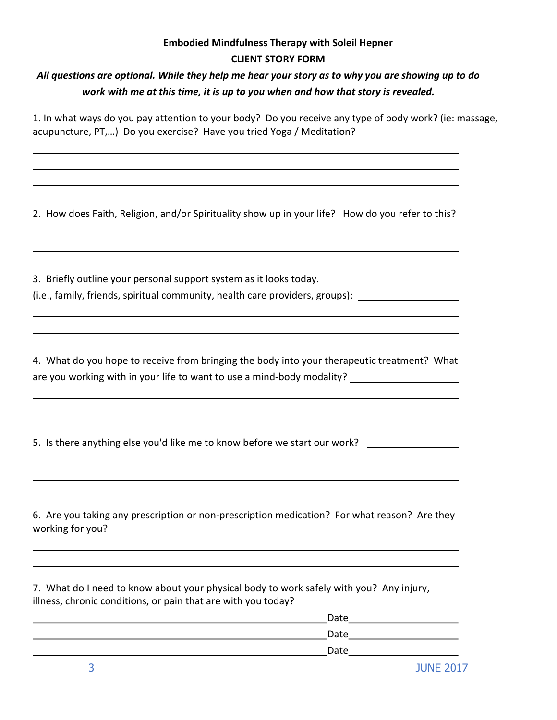## Embodied Mindfulness Therapy with Soleil Hepner CLIENT STORY FORM

# All questions are optional. While they help me hear your story as to why you are showing up to do work with me at this time, it is up to you when and how that story is revealed.

1. In what ways do you pay attention to your body? Do you receive any type of body work? (ie: massage, acupuncture, PT,…) Do you exercise? Have you tried Yoga / Meditation?

2. How does Faith, Religion, and/or Spirituality show up in your life? How do you refer to this?

3. Briefly outline your personal support system as it looks today.

(i.e., family, friends, spiritual community, health care providers, groups):

4. What do you hope to receive from bringing the body into your therapeutic treatment? What are you working with in your life to want to use a mind-body modality?

5. Is there anything else you'd like me to know before we start our work? \_\_\_\_\_\_\_\_\_\_\_\_\_

6. Are you taking any prescription or non-prescription medication? For what reason? Are they working for you?

7. What do I need to know about your physical body to work safely with you? Any injury, illness, chronic conditions, or pain that are with you today?

| Date |  |
|------|--|
| Date |  |
| Date |  |
|      |  |

 $\overline{a}$ 

 $\overline{a}$ 

 $\overline{a}$ 

 $\overline{a}$